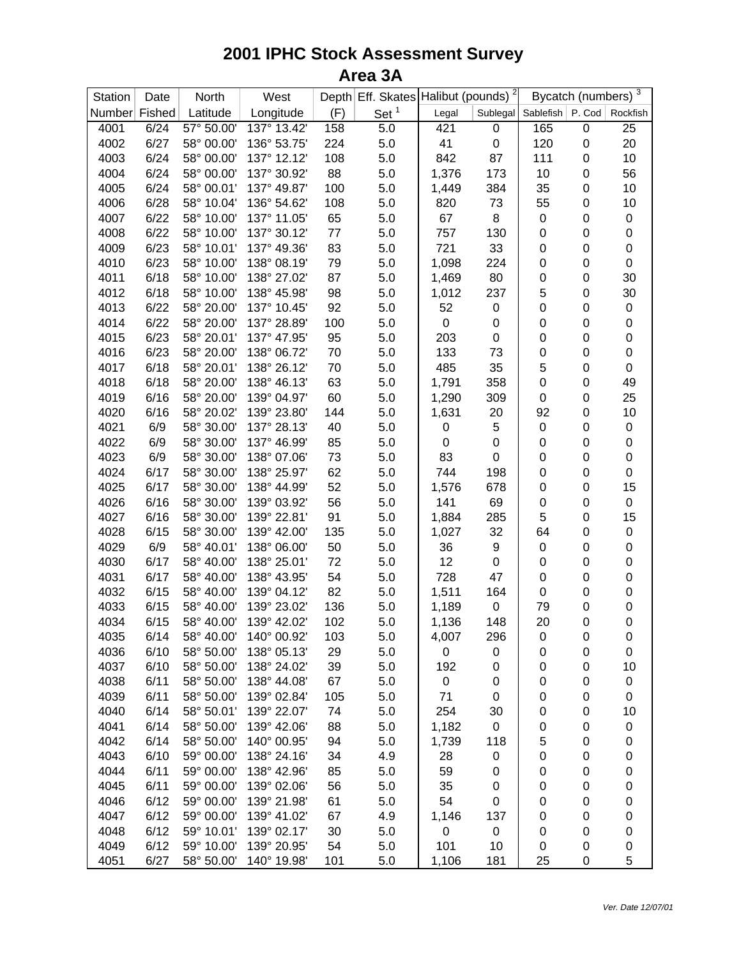| Station       | Date | North      | West        |     | Depth Eff. Skates | Halibut (pounds) <sup>2</sup> |                  | Bycatch (numbers) 3         |                  |                  |
|---------------|------|------------|-------------|-----|-------------------|-------------------------------|------------------|-----------------------------|------------------|------------------|
| Number Fished |      | Latitude   | Longitude   | (F) | Set <sup>1</sup>  | Legal                         |                  | Sublegal Sablefish   P. Cod |                  | Rockfish         |
| 4001          | 6/24 | 57° 50.00' | 137° 13.42' | 158 | 5.0               | 421                           | $\boldsymbol{0}$ | 165                         | $\pmb{0}$        | 25               |
| 4002          | 6/27 | 58° 00.00' | 136° 53.75' | 224 | 5.0               | 41                            | $\pmb{0}$        | 120                         | 0                | 20               |
| 4003          | 6/24 | 58° 00.00' | 137° 12.12' | 108 | 5.0               | 842                           | 87               | 111                         | 0                | 10               |
| 4004          | 6/24 | 58° 00.00' | 137° 30.92' | 88  | 5.0               | 1,376                         | 173              | 10                          | 0                | 56               |
| 4005          | 6/24 | 58° 00.01' | 137° 49.87' | 100 | 5.0               | 1,449                         | 384              | 35                          | 0                | 10               |
| 4006          | 6/28 | 58° 10.04' | 136° 54.62' | 108 | 5.0               | 820                           | 73               | 55                          | 0                | 10               |
| 4007          | 6/22 | 58° 10.00' | 137° 11.05' | 65  | 5.0               | 67                            | 8                | $\pmb{0}$                   | 0                | $\boldsymbol{0}$ |
| 4008          | 6/22 | 58° 10.00' | 137° 30.12' | 77  | 5.0               | 757                           | 130              | $\pmb{0}$                   | 0                | $\boldsymbol{0}$ |
| 4009          | 6/23 | 58° 10.01' | 137° 49.36' | 83  | 5.0               | 721                           | 33               | 0                           | 0                | $\pmb{0}$        |
| 4010          | 6/23 | 58° 10.00' | 138° 08.19' | 79  | 5.0               | 1,098                         | 224              | 0                           | 0                | $\boldsymbol{0}$ |
| 4011          | 6/18 | 58° 10.00' | 138° 27.02' | 87  | 5.0               | 1,469                         | 80               | 0                           | 0                | 30               |
| 4012          | 6/18 | 58° 10.00' | 138° 45.98' | 98  | 5.0               | 1,012                         | 237              | 5                           | 0                | 30               |
| 4013          | 6/22 | 58° 20.00' | 137° 10.45' | 92  | 5.0               | 52                            | $\pmb{0}$        | $\mathbf 0$                 | $\pmb{0}$        | $\boldsymbol{0}$ |
| 4014          | 6/22 | 58° 20.00' | 137° 28.89' | 100 | 5.0               | 0                             | $\mathbf 0$      | $\pmb{0}$                   | $\boldsymbol{0}$ | 0                |
| 4015          | 6/23 | 58° 20.01' | 137° 47.95' | 95  | 5.0               | 203                           | $\boldsymbol{0}$ | $\boldsymbol{0}$            | 0                | 0                |
| 4016          | 6/23 | 58° 20.00' | 138° 06.72' | 70  | 5.0               | 133                           | 73               | $\pmb{0}$                   | 0                | $\boldsymbol{0}$ |
| 4017          | 6/18 | 58° 20.01' | 138° 26.12' | 70  | 5.0               | 485                           | 35               | 5                           | 0                | 0                |
| 4018          | 6/18 | 58° 20.00' | 138° 46.13' | 63  | 5.0               | 1,791                         | 358              | 0                           | 0                | 49               |
| 4019          | 6/16 | 58° 20.00' | 139° 04.97' | 60  | 5.0               | 1,290                         | 309              | $\pmb{0}$                   | 0                | 25               |
| 4020          | 6/16 | 58° 20.02' | 139° 23.80' | 144 | 5.0               | 1,631                         | 20               | 92                          | 0                | 10               |
| 4021          | 6/9  | 58° 30.00' | 137° 28.13' | 40  | 5.0               | 0                             | 5                | $\pmb{0}$                   | 0                | $\boldsymbol{0}$ |
| 4022          | 6/9  | 58° 30.00' | 137° 46.99' | 85  | 5.0               | 0                             | $\boldsymbol{0}$ | 0                           | 0                | $\mathbf 0$      |
| 4023          | 6/9  | 58° 30.00' | 138° 07.06' | 73  | 5.0               | 83                            | $\boldsymbol{0}$ | 0                           | 0                | $\boldsymbol{0}$ |
| 4024          | 6/17 | 58° 30.00' | 138° 25.97' | 62  | 5.0               | 744                           | 198              | $\pmb{0}$                   | 0                | $\mathbf 0$      |
| 4025          | 6/17 | 58° 30.00' | 138° 44.99' | 52  | 5.0               | 1,576                         | 678              | 0                           | 0                | 15               |
| 4026          | 6/16 | 58° 30.00' | 139° 03.92' | 56  | 5.0               | 141                           | 69               | $\pmb{0}$                   | 0                | $\pmb{0}$        |
| 4027          | 6/16 | 58° 30.00' | 139° 22.81' | 91  | 5.0               | 1,884                         | 285              | 5                           | 0                | 15               |
| 4028          | 6/15 | 58° 30.00' | 139° 42.00' | 135 | 5.0               | 1,027                         | 32               | 64                          | 0                | $\boldsymbol{0}$ |
| 4029          | 6/9  | 58° 40.01' | 138° 06.00' | 50  | 5.0               | 36                            | 9                | 0                           | 0                | 0                |
| 4030          | 6/17 | 58° 40.00' | 138° 25.01' | 72  | 5.0               | 12                            | $\mathbf 0$      | $\boldsymbol{0}$            | 0                | $\mathbf 0$      |
| 4031          | 6/17 | 58° 40.00' | 138° 43.95' | 54  | 5.0               | 728                           | 47               | $\boldsymbol{0}$            | 0                | $\boldsymbol{0}$ |
| 4032          | 6/15 | 58° 40.00' | 139° 04.12' | 82  | 5.0               | 1,511                         | 164              | 0                           | 0                | $\boldsymbol{0}$ |
| 4033          | 6/15 | 58° 40.00' | 139° 23.02' | 136 | 5.0               | 1,189                         | $\pmb{0}$        | 79                          | 0                | 0                |
| 4034          | 6/15 | 58° 40.00' | 139° 42.02' | 102 | 5.0               | 1,136                         | 148              | 20                          | 0                | $\boldsymbol{0}$ |
| 4035          | 6/14 | 58° 40.00' | 140° 00.92' | 103 | 5.0               | 4,007                         | 296              | 0                           | 0                | 0                |
| 4036          | 6/10 | 58° 50.00' | 138° 05.13' | 29  | 5.0               | 0                             | $\boldsymbol{0}$ | 0                           | 0                | 0                |
| 4037          | 6/10 | 58° 50.00' | 138° 24.02' | 39  | 5.0               | 192                           | 0                | 0                           | 0                | 10               |
| 4038          | 6/11 | 58° 50.00' | 138° 44.08' | 67  | 5.0               | 0                             | 0                | 0                           | 0                | 0                |
| 4039          | 6/11 | 58° 50.00' | 139° 02.84' | 105 | 5.0               | 71                            | $\pmb{0}$        | 0                           | 0                | 0                |
| 4040          | 6/14 | 58° 50.01' | 139° 22.07' | 74  | 5.0               | 254                           | 30               | 0                           | 0                | 10               |
| 4041          | 6/14 | 58° 50.00' | 139° 42.06' | 88  | 5.0               | 1,182                         | $\pmb{0}$        | 0                           | 0                | 0                |
| 4042          | 6/14 | 58° 50.00' | 140° 00.95' | 94  | 5.0               | 1,739                         | 118              | 5                           | 0                | 0                |
| 4043          | 6/10 | 59° 00.00' | 138° 24.16' | 34  | 4.9               | 28                            | $\boldsymbol{0}$ | 0                           | 0                | 0                |
| 4044          | 6/11 | 59° 00.00' | 138° 42.96' | 85  | 5.0               | 59                            | $\boldsymbol{0}$ | 0                           | 0                | 0                |
| 4045          | 6/11 | 59° 00.00' | 139° 02.06' | 56  | 5.0               | 35                            | $\boldsymbol{0}$ | 0                           | 0                | 0                |
| 4046          | 6/12 | 59° 00.00' | 139° 21.98' | 61  | 5.0               | 54                            | 0                | 0                           | 0                | 0                |
| 4047          | 6/12 | 59° 00.00' | 139° 41.02' | 67  | 4.9               | 1,146                         | 137              | 0                           | 0                | 0                |
| 4048          | 6/12 | 59° 10.01' | 139° 02.17' | 30  | 5.0               | 0                             | $\pmb{0}$        | 0                           | 0                | 0                |
| 4049          | 6/12 | 59° 10.00' | 139° 20.95' | 54  | 5.0               | 101                           | 10               | 0                           | 0                | 0                |
| 4051          | 6/27 | 58° 50.00' | 140° 19.98' | 101 | 5.0               | 1,106                         | 181              | 25                          | 0                | 5                |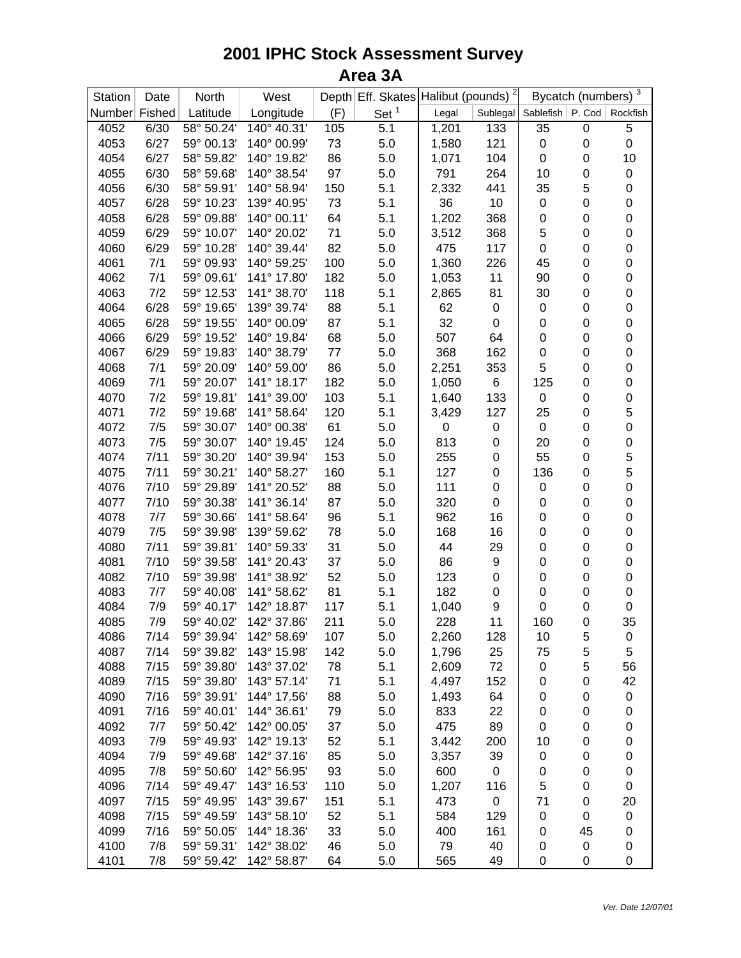| Station       | Date        | North      | West        |     | Depth Eff. Skates Halibut (pounds) <sup>2</sup> |       |                  | Bycatch (numbers) 3         |                  |                  |
|---------------|-------------|------------|-------------|-----|-------------------------------------------------|-------|------------------|-----------------------------|------------------|------------------|
| Number Fished |             | Latitude   | Longitude   | (F) | Set <sup>1</sup>                                | Legal |                  | Sublegal Sablefish   P. Cod |                  | Rockfish         |
| 4052          | 6/30        | 58° 50.24' | 140° 40.31' | 105 | 5.1                                             | 1,201 | 133              | 35                          | $\boldsymbol{0}$ | 5                |
| 4053          | 6/27        | 59° 00.13' | 140° 00.99' | 73  | 5.0                                             | 1,580 | 121              | 0                           | 0                | $\boldsymbol{0}$ |
| 4054          | 6/27        | 58° 59.82' | 140° 19.82' | 86  | 5.0                                             | 1,071 | 104              | $\pmb{0}$                   | 0                | 10               |
| 4055          | 6/30        | 58° 59.68' | 140° 38.54' | 97  | 5.0                                             | 791   | 264              | 10                          | 0                | $\boldsymbol{0}$ |
| 4056          | 6/30        | 58° 59.91' | 140° 58.94' | 150 | 5.1                                             | 2,332 | 441              | 35                          | 5                | $\mathbf 0$      |
| 4057          | 6/28        | 59° 10.23' | 139° 40.95' | 73  | 5.1                                             | 36    | 10               | $\pmb{0}$                   | $\mathbf 0$      | $\mathbf 0$      |
| 4058          | 6/28        | 59° 09.88' | 140° 00.11' | 64  | 5.1                                             | 1,202 | 368              | 0                           | 0                | $\mathbf 0$      |
| 4059          | 6/29        | 59° 10.07' | 140° 20.02' | 71  | 5.0                                             | 3,512 | 368              | 5                           | $\pmb{0}$        | $\mathbf 0$      |
| 4060          | 6/29        | 59° 10.28' | 140° 39.44' | 82  | 5.0                                             | 475   | 117              | 0                           | 0                | $\mathbf 0$      |
| 4061          | 7/1         | 59° 09.93' | 140° 59.25' | 100 | 5.0                                             | 1,360 | 226              | 45                          | 0                | $\mathbf 0$      |
| 4062          | 7/1         | 59° 09.61' | 141° 17.80' | 182 | 5.0                                             | 1,053 | 11               | 90                          | 0                | $\boldsymbol{0}$ |
| 4063          | 7/2         | 59° 12.53' | 141° 38.70' | 118 | 5.1                                             | 2,865 | 81               | 30                          | $\pmb{0}$        | $\boldsymbol{0}$ |
| 4064          | 6/28        | 59° 19.65' | 139° 39.74' | 88  | 5.1                                             | 62    | $\boldsymbol{0}$ | $\pmb{0}$                   | $\pmb{0}$        | $\mathbf 0$      |
| 4065          | 6/28        | 59° 19.55' | 140° 00.09' | 87  | 5.1                                             | 32    | $\mathbf 0$      | $\boldsymbol{0}$            | 0                | $\boldsymbol{0}$ |
| 4066          | 6/29        | 59° 19.52' | 140° 19.84' | 68  | 5.0                                             | 507   | 64               | $\boldsymbol{0}$            | 0                | $\mathbf 0$      |
| 4067          | 6/29        | 59° 19.83' | 140° 38.79' | 77  | 5.0                                             | 368   | 162              | $\pmb{0}$                   | 0                | $\mathbf 0$      |
| 4068          | 7/1         | 59° 20.09' | 140° 59.00' | 86  | 5.0                                             | 2,251 | 353              | 5                           | 0                | $\boldsymbol{0}$ |
| 4069          | 7/1         | 59° 20.07' | 141° 18.17' | 182 | 5.0                                             | 1,050 | 6                | 125                         | 0                | $\boldsymbol{0}$ |
| 4070          | 7/2         | 59° 19.81' | 141° 39.00' | 103 | 5.1                                             | 1,640 | 133              | $\pmb{0}$                   | 0                | $\mathbf 0$      |
| 4071          | 7/2         | 59° 19.68' | 141° 58.64' | 120 | 5.1                                             | 3,429 | 127              | 25                          | 0                | 5                |
| 4072          | 7/5         | 59° 30.07' | 140° 00.38' | 61  | 5.0                                             | 0     | $\boldsymbol{0}$ | $\pmb{0}$                   | 0                | $\mathbf 0$      |
| 4073          | 7/5         | 59° 30.07' | 140° 19.45' | 124 | 5.0                                             | 813   | $\boldsymbol{0}$ | 20                          | 0                | $\mathbf 0$      |
| 4074          | 7/11        | 59° 30.20' | 140° 39.94' | 153 | 5.0                                             | 255   | $\boldsymbol{0}$ | 55                          | 0                | 5                |
| 4075          | 7/11        | 59° 30.21' | 140° 58.27' | 160 | 5.1                                             | 127   | $\boldsymbol{0}$ | 136                         | 0                | 5                |
| 4076          | 7/10        | 59° 29.89' | 141° 20.52' | 88  | 5.0                                             | 111   | $\boldsymbol{0}$ | $\pmb{0}$                   | 0                | $\mathbf 0$      |
| 4077          | 7/10        | 59° 30.38' | 141° 36.14' | 87  | 5.0                                             | 320   | $\boldsymbol{0}$ | $\pmb{0}$                   | 0                | $\mathbf 0$      |
| 4078          | 7/7         | 59° 30.66' | 141° 58.64' | 96  | 5.1                                             | 962   | 16               | $\boldsymbol{0}$            | 0                | $\boldsymbol{0}$ |
| 4079          | 7/5         | 59° 39.98' | 139° 59.62' | 78  | 5.0                                             | 168   | 16               | $\pmb{0}$                   | $\pmb{0}$        | $\mathbf 0$      |
| 4080          | 7/11        | 59° 39.81' | 140° 59.33' | 31  | 5.0                                             | 44    | 29               | $\boldsymbol{0}$            | $\pmb{0}$        | $\mathbf 0$      |
| 4081          | 7/10        | 59° 39.58' | 141° 20.43' | 37  | 5.0                                             | 86    | 9                | $\pmb{0}$                   | $\pmb{0}$        | $\mathbf 0$      |
| 4082          | 7/10        | 59° 39.98' | 141° 38.92' | 52  | 5.0                                             | 123   | 0                | $\boldsymbol{0}$            | 0                | $\boldsymbol{0}$ |
| 4083          | 7/7         | 59° 40.08' | 141° 58.62' | 81  | 5.1                                             | 182   | $\boldsymbol{0}$ | $\boldsymbol{0}$            | 0                | $\boldsymbol{0}$ |
| 4084          | 7/9         | 59° 40.17' | 142° 18.87' | 117 | 5.1                                             | 1,040 | 9                | 0                           | 0                | $\mathbf 0$      |
| 4085          | 7/9         | 59° 40.02' | 142° 37.86' | 211 | 5.0                                             | 228   | 11               | 160                         | 0                | 35               |
| 4086          | 7/14        | 59° 39.94' | 142° 58.69' | 107 | 5.0                                             | 2,260 | 128              | 10                          | 5                | 0                |
| 4087          | 7/14        | 59° 39.82' | 143° 15.98' | 142 | 5.0                                             | 1,796 | 25               | 75                          | 5                | 5                |
| 4088          | 7/15        | 59° 39.80' | 143° 37.02' | 78  | 5.1                                             | 2,609 | 72               | 0                           | 5                | 56               |
| 4089          | 7/15        | 59° 39.80' | 143° 57.14' | 71  | 5.1                                             | 4,497 | 152              | 0                           | 0                | 42               |
| 4090          | 7/16        | 59° 39.91' | 144° 17.56' | 88  | 5.0                                             | 1,493 | 64               | 0                           | 0                | $\mathbf 0$      |
| 4091          | 7/16        | 59° 40.01' | 144° 36.61' | 79  | 5.0                                             | 833   | 22               | 0                           | 0                | 0                |
| 4092          | 7/7         | 59° 50.42' | 142° 00.05' | 37  | 5.0                                             | 475   | 89               | 0                           | 0                | 0                |
| 4093          | 7/9         | 59° 49.93' | 142° 19.13' | 52  | 5.1                                             | 3,442 | 200              | 10                          | 0                | 0                |
| 4094          | 7/9         | 59° 49.68' | 142° 37.16' | 85  | 5.0                                             | 3,357 | 39               | 0                           | 0                | 0                |
|               |             |            | 142° 56.95' |     |                                                 | 600   |                  |                             |                  |                  |
| 4095          | 7/8<br>7/14 | 59° 50.60' | 143° 16.53' | 93  | 5.0                                             |       | 0                | 0                           | 0                | 0                |
| 4096          |             | 59° 49.47' |             | 110 | 5.0                                             | 1,207 | 116              | 5                           | 0                | 0                |
| 4097          | 7/15        | 59° 49.95' | 143° 39.67' | 151 | 5.1                                             | 473   | $\pmb{0}$        | 71                          | 0                | 20               |
| 4098          | 7/15        | 59° 49.59' | 143° 58.10' | 52  | 5.1                                             | 584   | 129              | $\pmb{0}$                   | 0                | 0                |
| 4099          | 7/16        | 59° 50.05' | 144° 18.36' | 33  | 5.0                                             | 400   | 161              | 0                           | 45               | 0                |
| 4100          | 7/8         | 59° 59.31' | 142° 38.02' | 46  | 5.0                                             | 79    | 40               | 0                           | 0                | 0                |
| 4101          | 7/8         | 59° 59.42' | 142° 58.87' | 64  | 5.0                                             | 565   | 49               | 0                           | 0                | 0                |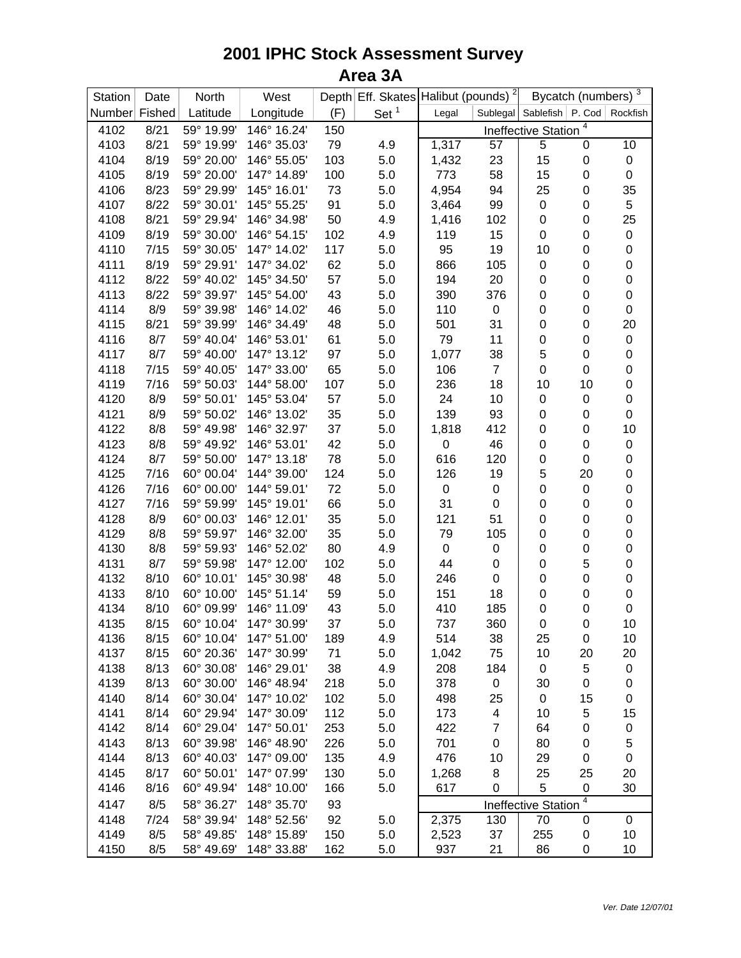| Station       | Date | North      | West        |     | Depth Eff. Skates Halibut (pounds) <sup>2</sup> |           |                  |                                        | Bycatch (numbers) $\frac{3}{3}$ |                  |
|---------------|------|------------|-------------|-----|-------------------------------------------------|-----------|------------------|----------------------------------------|---------------------------------|------------------|
| Number Fished |      | Latitude   | Longitude   | (F) | Set $1$                                         | Legal     |                  | Sublegal Sablefish   P. Cod   Rockfish |                                 |                  |
| 4102          | 8/21 | 59° 19.99' | 146° 16.24' | 150 |                                                 |           |                  | Ineffective Station                    | 4                               |                  |
| 4103          | 8/21 | 59° 19.99' | 146° 35.03' | 79  | 4.9                                             | 1,317     | 57               | $\overline{5}$                         | 0                               | 10               |
| 4104          | 8/19 | 59° 20.00' | 146° 55.05' | 103 | 5.0                                             | 1,432     | 23               | 15                                     | 0                               | $\pmb{0}$        |
| 4105          | 8/19 | 59° 20.00' | 147° 14.89' | 100 | 5.0                                             | 773       | 58               | 15                                     | $\pmb{0}$                       | $\mathbf 0$      |
| 4106          | 8/23 | 59° 29.99' | 145° 16.01' | 73  | 5.0                                             | 4,954     | 94               | 25                                     | $\pmb{0}$                       | 35               |
| 4107          | 8/22 | 59° 30.01' | 145° 55.25' | 91  | 5.0                                             | 3,464     | 99               | 0                                      | $\pmb{0}$                       | $\,$ 5 $\,$      |
| 4108          | 8/21 | 59° 29.94' | 146° 34.98' | 50  | 4.9                                             | 1,416     | 102              | 0                                      | $\pmb{0}$                       | 25               |
| 4109          | 8/19 | 59° 30.00' | 146° 54.15' | 102 | 4.9                                             | 119       | 15               | 0                                      | $\pmb{0}$                       | $\mathbf 0$      |
| 4110          | 7/15 | 59° 30.05' | 147° 14.02' | 117 | 5.0                                             | 95        | 19               | 10                                     | $\pmb{0}$                       | $\boldsymbol{0}$ |
| 4111          | 8/19 | 59° 29.91' | 147° 34.02' | 62  | 5.0                                             | 866       | 105              | 0                                      | $\pmb{0}$                       | $\mathbf 0$      |
| 4112          | 8/22 | 59° 40.02' | 145° 34.50' | 57  | 5.0                                             | 194       | 20               | 0                                      | $\pmb{0}$                       | $\pmb{0}$        |
| 4113          | 8/22 | 59° 39.97' | 145° 54.00' | 43  | 5.0                                             | 390       | 376              | 0                                      | $\pmb{0}$                       | $\pmb{0}$        |
| 4114          | 8/9  | 59° 39.98' | 146° 14.02' | 46  | 5.0                                             | 110       | $\boldsymbol{0}$ | 0                                      | $\pmb{0}$                       | $\pmb{0}$        |
| 4115          | 8/21 | 59° 39.99' | 146° 34.49' | 48  | 5.0                                             | 501       | 31               | 0                                      | $\pmb{0}$                       | 20               |
| 4116          | 8/7  | 59° 40.04' | 146° 53.01' | 61  | 5.0                                             | 79        | 11               | $\pmb{0}$                              | 0                               | $\pmb{0}$        |
| 4117          | 8/7  | 59° 40.00' | 147° 13.12' | 97  | 5.0                                             | 1,077     | 38               | 5                                      | $\pmb{0}$                       | $\boldsymbol{0}$ |
| 4118          | 7/15 | 59° 40.05' | 147° 33.00' | 65  | 5.0                                             | 106       | $\overline{7}$   | $\mathbf 0$                            | $\pmb{0}$                       | $\mathbf 0$      |
| 4119          | 7/16 | 59° 50.03' | 144° 58.00' | 107 | 5.0                                             | 236       | 18               | 10                                     | 10                              | $\mathbf 0$      |
| 4120          | 8/9  | 59° 50.01' | 145° 53.04' | 57  | 5.0                                             | 24        | 10               | 0                                      | $\pmb{0}$                       | $\mathbf 0$      |
| 4121          | 8/9  | 59° 50.02' | 146° 13.02' | 35  | 5.0                                             | 139       | 93               | 0                                      | 0                               | $\mathbf 0$      |
| 4122          | 8/8  | 59° 49.98' | 146° 32.97' | 37  | 5.0                                             | 1,818     | 412              | 0                                      | $\pmb{0}$                       | 10               |
| 4123          | 8/8  | 59° 49.92' | 146° 53.01' | 42  | 5.0                                             | 0         | 46               | 0                                      | $\pmb{0}$                       | $\,0\,$          |
| 4124          | 8/7  | 59° 50.00' | 147° 13.18' | 78  | 5.0                                             | 616       | 120              | $\pmb{0}$                              | 0                               | $\,0\,$          |
| 4125          | 7/16 | 60° 00.04' | 144° 39.00' | 124 | 5.0                                             | 126       | 19               | 5                                      | 20                              | $\mathbf 0$      |
| 4126          | 7/16 | 60° 00.00' | 144° 59.01' | 72  | 5.0                                             | $\pmb{0}$ | $\pmb{0}$        | $\mathbf 0$                            | $\pmb{0}$                       | $\mathbf 0$      |
| 4127          | 7/16 | 59° 59.99' | 145° 19.01' | 66  | 5.0                                             | 31        | $\boldsymbol{0}$ | $\pmb{0}$                              | 0                               | 0                |
| 4128          | 8/9  | 60° 00.03' | 146° 12.01' | 35  | 5.0                                             | 121       | 51               | $\mathbf 0$                            | $\pmb{0}$                       | $\mathsf 0$      |
| 4129          | 8/8  | 59° 59.97' | 146° 32.00' | 35  | 5.0                                             | 79        | 105              | 0                                      | $\pmb{0}$                       | $\,0\,$          |
| 4130          | 8/8  | 59° 59.93' | 146° 52.02' | 80  | 4.9                                             | $\pmb{0}$ | $\boldsymbol{0}$ | 0                                      | $\pmb{0}$                       | $\boldsymbol{0}$ |
| 4131          | 8/7  | 59° 59.98' | 147° 12.00' | 102 | 5.0                                             | 44        | $\pmb{0}$        | 0                                      | 5                               | $\boldsymbol{0}$ |
| 4132          | 8/10 | 60° 10.01' | 145° 30.98' | 48  | 5.0                                             | 246       | $\boldsymbol{0}$ | $\mathbf 0$                            | 0                               | $\boldsymbol{0}$ |
| 4133          | 8/10 | 60° 10.00' | 145° 51.14' | 59  | 5.0                                             | 151       | 18               | $\mathbf 0$                            | $\pmb{0}$                       | $\boldsymbol{0}$ |
| 4134          | 8/10 | 60° 09.99' | 146° 11.09' | 43  | 5.0                                             | 410       | 185              | $\pmb{0}$                              | $\pmb{0}$                       | $\mathbf 0$      |
| 4135          | 8/15 | 60° 10.04' | 147° 30.99' | 37  | 5.0                                             | 737       | 360              | $\mathbf 0$                            | 0                               | 10               |
| 4136          | 8/15 | 60° 10.04' | 147° 51.00' | 189 | 4.9                                             | 514       | 38               | 25                                     | 0                               | 10               |
| 4137          | 8/15 | 60° 20.36' | 147° 30.99' | 71  | 5.0                                             | 1,042     | 75               | 10                                     | 20                              | 20               |
| 4138          | 8/13 | 60° 30.08' | 146° 29.01' | 38  | 4.9                                             | 208       | 184              | 0                                      | 5                               | $\pmb{0}$        |
| 4139          | 8/13 | 60° 30.00' | 146° 48.94' | 218 | 5.0                                             | 378       | $\pmb{0}$        | 30                                     | 0                               | $\pmb{0}$        |
| 4140          | 8/14 | 60° 30.04' | 147° 10.02' | 102 | 5.0                                             | 498       | 25               | 0                                      | 15                              | $\pmb{0}$        |
| 4141          | 8/14 | 60° 29.94' | 147° 30.09' | 112 | 5.0                                             | 173       | 4                | 10                                     | 5                               | 15               |
| 4142          | 8/14 | 60° 29.04' | 147° 50.01' | 253 | 5.0                                             | 422       | 7                | 64                                     | 0                               | $\pmb{0}$        |
| 4143          | 8/13 | 60° 39.98' | 146° 48.90' | 226 | 5.0                                             | 701       | $\boldsymbol{0}$ | 80                                     | 0                               | 5                |
| 4144          | 8/13 | 60° 40.03' | 147° 09.00' | 135 | 4.9                                             | 476       | 10               | 29                                     | 0                               | $\pmb{0}$        |
| 4145          | 8/17 | 60° 50.01' | 147° 07.99' | 130 | 5.0                                             | 1,268     | 8                | 25                                     | 25                              | 20               |
| 4146          | 8/16 | 60° 49.94' | 148° 10.00' | 166 | 5.0                                             | 617       | 0                | 5                                      | 0                               | 30               |
| 4147          | 8/5  | 58° 36.27' | 148° 35.70' | 93  |                                                 |           |                  | Ineffective Station                    | $\overline{4}$                  |                  |
| 4148          | 7/24 | 58° 39.94' | 148° 52.56' | 92  | $5.0\,$                                         | 2,375     | 130              | 70                                     | 0                               | 0                |
| 4149          | 8/5  | 58° 49.85' | 148° 15.89' | 150 | 5.0                                             | 2,523     | 37               | 255                                    | 0                               | 10               |
| 4150          | 8/5  | 58° 49.69' | 148° 33.88' | 162 | 5.0                                             | 937       | 21               | 86                                     | 0                               | 10               |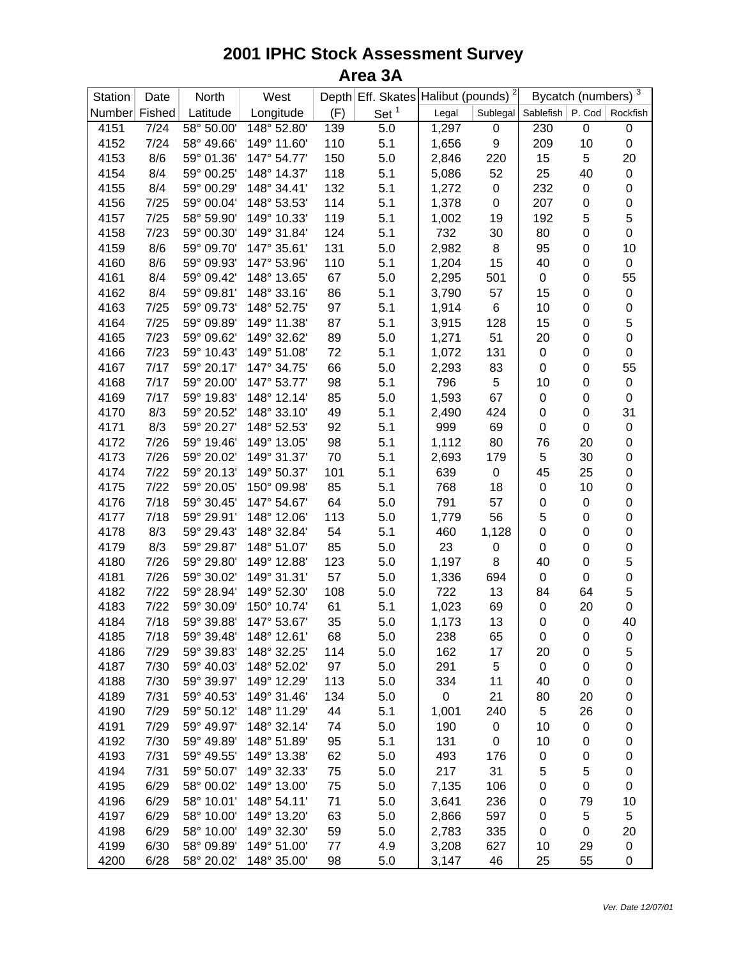| Station       | Date         | North                    | West        |           | Depth Eff. Skates Halibut (pounds) <sup>2</sup> |                |                  | Bycatch (numbers) 3         |             |                   |
|---------------|--------------|--------------------------|-------------|-----------|-------------------------------------------------|----------------|------------------|-----------------------------|-------------|-------------------|
| Number Fished |              | Latitude                 | Longitude   | (F)       | Set <sup>1</sup>                                | Legal          |                  | Sublegal Sablefish   P. Cod |             | Rockfish          |
| 4151          | 7/24         | 58° 50.00'               | 148° 52.80' | 139       | 5.0                                             | 1,297          | $\boldsymbol{0}$ | 230                         | $\mathbf 0$ | $\boldsymbol{0}$  |
| 4152          | 7/24         | 58° 49.66'               | 149° 11.60' | 110       | 5.1                                             | 1,656          | 9                | 209                         | 10          | $\boldsymbol{0}$  |
| 4153          | 8/6          | 59° 01.36'               | 147° 54.77' | 150       | 5.0                                             | 2,846          | 220              | 15                          | 5           | 20                |
| 4154          | 8/4          | 59° 00.25'               | 148° 14.37' | 118       | 5.1                                             | 5,086          | 52               | 25                          | 40          | $\boldsymbol{0}$  |
| 4155          | 8/4          | 59° 00.29'               | 148° 34.41' | 132       | 5.1                                             | 1,272          | $\boldsymbol{0}$ | 232                         | $\pmb{0}$   | 0                 |
| 4156          | 7/25         | 59° 00.04'               | 148° 53.53' | 114       | 5.1                                             | 1,378          | $\boldsymbol{0}$ | 207                         | 0           | $\mathbf 0$       |
| 4157          | 7/25         | 58° 59.90'               | 149° 10.33' | 119       | 5.1                                             | 1,002          | 19               | 192                         | 5           | 5                 |
| 4158          | 7/23         | 59° 00.30'               | 149° 31.84' | 124       | 5.1                                             | 732            | 30               | 80                          | 0           | $\mathbf 0$       |
| 4159          | 8/6          | 59° 09.70'               | 147° 35.61' | 131       | 5.0                                             | 2,982          | 8                | 95                          | 0           | 10                |
| 4160          | 8/6          | 59° 09.93'               | 147° 53.96' | 110       | 5.1                                             | 1,204          | 15               | 40                          | 0           | $\boldsymbol{0}$  |
| 4161          | 8/4          | 59° 09.42'               | 148° 13.65' | 67        | 5.0                                             | 2,295          | 501              | $\pmb{0}$                   | 0           | 55                |
| 4162          | 8/4          | 59° 09.81'               | 148° 33.16' | 86        | 5.1                                             | 3,790          | 57               | 15                          | $\pmb{0}$   | $\boldsymbol{0}$  |
| 4163          | 7/25         | 59° 09.73'               | 148° 52.75' | 97        | 5.1                                             | 1,914          | 6                | 10                          | $\pmb{0}$   | $\mathbf 0$       |
| 4164          | 7/25         | 59° 09.89'               | 149° 11.38' | 87        | 5.1                                             | 3,915          | 128              | 15                          | $\pmb{0}$   | 5                 |
| 4165          | 7/23         | 59° 09.62'               | 149° 32.62' | 89        | 5.0                                             | 1,271          | 51               | 20                          | 0           | $\boldsymbol{0}$  |
| 4166          | 7/23         | 59° 10.43'               | 149° 51.08' | 72        | 5.1                                             | 1,072          | 131              | $\pmb{0}$                   | 0           | $\mathbf 0$       |
| 4167          | 7/17         | 59° 20.17'               | 147° 34.75' | 66        | 5.0                                             | 2,293          | 83               | 0                           | 0           | 55                |
| 4168          | 7/17         | 59° 20.00'               | 147° 53.77' | 98        | 5.1                                             | 796            | 5                | 10                          | 0           | $\boldsymbol{0}$  |
| 4169          | 7/17         | 59° 19.83'               | 148° 12.14' | 85        | 5.0                                             | 1,593          | 67               | $\pmb{0}$                   | 0           | $\pmb{0}$         |
| 4170          | 8/3          | 59° 20.52'               | 148° 33.10' | 49        | 5.1                                             | 2,490          | 424              | 0                           | 0           | 31                |
| 4171          | 8/3          | 59° 20.27'               | 148° 52.53' | 92        | 5.1                                             | 999            | 69               | 0                           | $\pmb{0}$   | $\pmb{0}$         |
| 4172          | 7/26         | 59° 19.46'               | 149° 13.05' | 98        | 5.1                                             | 1,112          | 80               | 76                          | 20          | $\mathbf 0$       |
| 4173          | 7/26         | 59° 20.02'               | 149° 31.37' | 70        | 5.1                                             | 2,693          | 179              | 5                           | 30          | $\mathbf 0$       |
| 4174          | 7/22         | 59° 20.13'               | 149° 50.37' | 101       | 5.1                                             | 639            | $\pmb{0}$        | 45                          | 25          | $\mathbf 0$       |
| 4175          | 7/22         | 59° 20.05'               | 150° 09.98' | 85        | 5.1                                             | 768            | 18               | $\pmb{0}$                   | 10          | $\boldsymbol{0}$  |
| 4176          | 7/18         | 59° 30.45'               | 147° 54.67' | 64        | 5.0                                             | 791            | 57               | 0                           | 0           | $\boldsymbol{0}$  |
| 4177          | 7/18         | 59° 29.91'               | 148° 12.06' | 113       | 5.0                                             | 1,779          | 56               | 5                           | 0           | $\mathbf 0$       |
| 4178          | 8/3          | 59° 29.43'               | 148° 32.84' | 54        | 5.1                                             | 460            | 1,128            | $\mathsf 0$                 | $\pmb{0}$   | $\mathbf 0$       |
| 4179          | 8/3          | 59° 29.87'               | 148° 51.07' | 85        | 5.0                                             | 23             | 0                | 0                           | 0           | $\mathbf 0$       |
| 4180          | 7/26         | 59° 29.80'               | 149° 12.88' | 123       | 5.0                                             | 1,197          | 8                | 40                          | $\pmb{0}$   | 5                 |
| 4181          | 7/26         | 59° 30.02'               | 149° 31.31' | 57        | 5.0                                             | 1,336          |                  | $\mathbf 0$                 | 0           | $\mathbf 0$       |
| 4182          |              |                          | 149° 52.30' |           |                                                 |                | 694              |                             |             |                   |
|               | 7/22<br>7/22 | 59° 28.94'<br>59° 30.09' | 150° 10.74' | 108<br>61 | 5.0                                             | 722            | 13               | 84                          | 64          | $\mathbf 5$       |
| 4183          | 7/18         | 59° 39.88'               | 147° 53.67' |           | 5.1                                             | 1,023<br>1,173 | 69               | $\pmb{0}$<br>$\mathbf 0$    | 20          | $\mathbf 0$<br>40 |
| 4184          |              |                          |             | 35        | 5.0                                             |                | 13               |                             | $\pmb{0}$   |                   |
| 4185          | 7/18         | 59° 39.48'               | 148° 12.61' | 68        | 5.0                                             | 238            | 65               | 0                           | 0           | 0                 |
| 4186          | 7/29         | 59° 39.83'               | 148° 32.25' | 114       | 5.0                                             | 162            | 17               | 20                          | 0           | 5                 |
| 4187          | 7/30         | 59° 40.03'               | 148° 52.02' | 97        | 5.0                                             | 291            | 5                | $\pmb{0}$                   | 0           | 0                 |
| 4188          | 7/30         | 59° 39.97'               | 149° 12.29' | 113       | 5.0                                             | 334            | 11               | 40                          | 0           | 0                 |
| 4189          | 7/31         | 59° 40.53'               | 149° 31.46' | 134       | 5.0                                             | 0              | 21               | 80                          | 20          | 0                 |
| 4190          | 7/29         | 59° 50.12'               | 148° 11.29' | 44        | 5.1                                             | 1,001          | 240              | 5                           | 26          | 0                 |
| 4191          | 7/29         | 59° 49.97'               | 148° 32.14' | 74        | 5.0                                             | 190            | 0                | 10                          | 0           | 0                 |
| 4192          | 7/30         | 59° 49.89'               | 148° 51.89' | 95        | 5.1                                             | 131            | $\pmb{0}$        | 10                          | 0           | 0                 |
| 4193          | 7/31         | 59° 49.55'               | 149° 13.38' | 62        | 5.0                                             | 493            | 176              | 0                           | 0           | 0                 |
| 4194          | 7/31         | 59° 50.07'               | 149° 32.33' | 75        | 5.0                                             | 217            | 31               | 5                           | 5           | 0                 |
| 4195          | 6/29         | 58° 00.02'               | 149° 13.00' | 75        | 5.0                                             | 7,135          | 106              | 0                           | 0           | 0                 |
| 4196          | 6/29         | 58° 10.01'               | 148° 54.11' | 71        | 5.0                                             | 3,641          | 236              | 0                           | 79          | 10                |
| 4197          | 6/29         | 58° 10.00'               | 149° 13.20' | 63        | 5.0                                             | 2,866          | 597              | 0                           | 5           | 5                 |
| 4198          | 6/29         | 58° 10.00'               | 149° 32.30' | 59        | 5.0                                             | 2,783          | 335              | 0                           | 0           | 20                |
| 4199          | 6/30         | 58° 09.89'               | 149° 51.00' | 77        | 4.9                                             | 3,208          | 627              | 10                          | 29          | $\pmb{0}$         |
| 4200          | 6/28         | 58° 20.02'               | 148° 35.00' | 98        | 5.0                                             | 3,147          | 46               | 25                          | 55          | 0                 |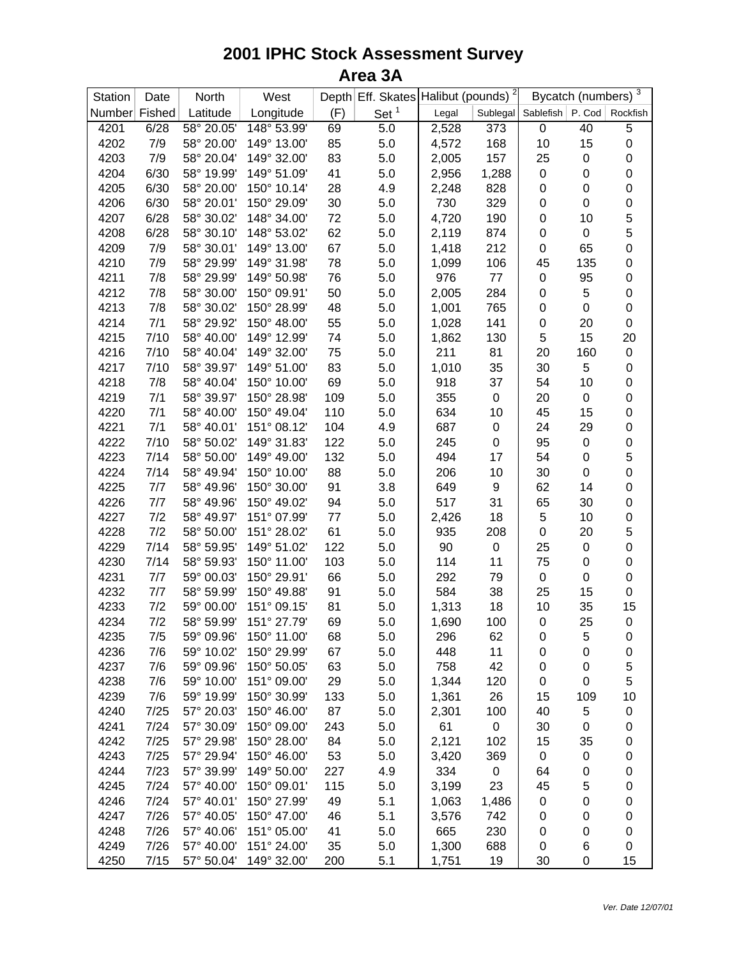| Station       | Date | North      | West        |     | Depth Eff. Skates Halibut (pounds) <sup>2</sup> |       |                  | Bycatch (numbers) 3         |           |                  |
|---------------|------|------------|-------------|-----|-------------------------------------------------|-------|------------------|-----------------------------|-----------|------------------|
| Number Fished |      | Latitude   | Longitude   | (F) | Set <sup>1</sup>                                | Legal |                  | Sublegal Sablefish   P. Cod |           | Rockfish         |
| 4201          | 6/28 | 58° 20.05' | 148° 53.99' | 69  | 5.0                                             | 2,528 | 373              | $\mathbf 0$                 | 40        | 5                |
| 4202          | 7/9  | 58° 20.00' | 149° 13.00' | 85  | 5.0                                             | 4,572 | 168              | 10                          | 15        | 0                |
| 4203          | 7/9  | 58° 20.04' | 149° 32.00' | 83  | 5.0                                             | 2,005 | 157              | 25                          | 0         | $\boldsymbol{0}$ |
| 4204          | 6/30 | 58° 19.99' | 149° 51.09' | 41  | 5.0                                             | 2,956 | 1,288            | $\pmb{0}$                   | $\pmb{0}$ | $\boldsymbol{0}$ |
| 4205          | 6/30 | 58° 20.00' | 150° 10.14' | 28  | 4.9                                             | 2,248 | 828              | 0                           | $\pmb{0}$ | $\mathbf 0$      |
| 4206          | 6/30 | 58° 20.01' | 150° 29.09' | 30  | 5.0                                             | 730   | 329              | 0                           | $\pmb{0}$ | $\mathbf 0$      |
| 4207          | 6/28 | 58° 30.02' | 148° 34.00' | 72  | 5.0                                             | 4,720 | 190              | $\pmb{0}$                   | 10        | 5                |
| 4208          | 6/28 | 58° 30.10' | 148° 53.02' | 62  | 5.0                                             | 2,119 | 874              | $\pmb{0}$                   | 0         | 5                |
| 4209          | 7/9  | 58° 30.01' | 149° 13.00' | 67  | 5.0                                             | 1,418 | 212              | 0                           | 65        | $\mathbf 0$      |
| 4210          | 7/9  | 58° 29.99' | 149° 31.98' | 78  | 5.0                                             | 1,099 | 106              | 45                          | 135       | $\boldsymbol{0}$ |
| 4211          | 7/8  | 58° 29.99' | 149° 50.98' | 76  | 5.0                                             | 976   | $77 \,$          | $\pmb{0}$                   | 95        | 0                |
| 4212          | 7/8  | 58° 30.00' | 150° 09.91' | 50  | 5.0                                             | 2,005 | 284              | $\pmb{0}$                   | 5         | 0                |
| 4213          | 7/8  | 58° 30.02' | 150° 28.99' | 48  | 5.0                                             | 1,001 | 765              | $\pmb{0}$                   | $\pmb{0}$ | $\boldsymbol{0}$ |
| 4214          | 7/1  | 58° 29.92' | 150° 48.00' | 55  | 5.0                                             | 1,028 | 141              | $\pmb{0}$                   | 20        | $\boldsymbol{0}$ |
| 4215          | 7/10 | 58° 40.00' | 149° 12.99' | 74  | 5.0                                             | 1,862 | 130              | 5                           | 15        | 20               |
| 4216          | 7/10 | 58° 40.04' | 149° 32.00' | 75  | 5.0                                             | 211   | 81               | 20                          | 160       | $\boldsymbol{0}$ |
| 4217          | 7/10 | 58° 39.97' | 149° 51.00' | 83  | 5.0                                             | 1,010 | 35               | 30                          | 5         | $\mathbf 0$      |
| 4218          | 7/8  | 58° 40.04' | 150° 10.00' | 69  | 5.0                                             | 918   | 37               | 54                          | 10        | $\boldsymbol{0}$ |
| 4219          | 7/1  | 58° 39.97' | 150° 28.98' | 109 | 5.0                                             | 355   | $\boldsymbol{0}$ | 20                          | $\pmb{0}$ | $\boldsymbol{0}$ |
| 4220          | 7/1  | 58° 40.00' | 150° 49.04' | 110 | 5.0                                             | 634   | 10               | 45                          | 15        | $\boldsymbol{0}$ |
| 4221          | 7/1  | 58° 40.01' | 151° 08.12' | 104 | 4.9                                             | 687   | $\boldsymbol{0}$ | 24                          | 29        | $\mathbf 0$      |
| 4222          | 7/10 | 58° 50.02' | 149° 31.83' | 122 | 5.0                                             | 245   | $\boldsymbol{0}$ | 95                          | 0         | $\mathbf 0$      |
| 4223          | 7/14 | 58° 50.00' | 149° 49.00' | 132 | 5.0                                             | 494   | 17               | 54                          | 0         | 5                |
| 4224          | 7/14 | 58° 49.94' | 150° 10.00' | 88  | 5.0                                             | 206   | 10               | 30                          | 0         | $\mathbf 0$      |
| 4225          | 7/7  | 58° 49.96' | 150° 30.00' | 91  | 3.8                                             | 649   | 9                | 62                          | 14        | $\mathbf 0$      |
| 4226          | 7/7  | 58° 49.96' | 150° 49.02' | 94  | 5.0                                             | 517   | 31               | 65                          | 30        | $\mathbf 0$      |
| 4227          | 7/2  | 58° 49.97' | 151° 07.99' | 77  | 5.0                                             | 2,426 | 18               | 5                           | 10        | $\pmb{0}$        |
| 4228          | 7/2  | 58° 50.00' | 151° 28.02' | 61  | 5.0                                             | 935   | 208              | $\pmb{0}$                   | 20        | 5                |
| 4229          | 7/14 | 58° 59.95' | 149° 51.02' | 122 | 5.0                                             | 90    | $\pmb{0}$        | 25                          | 0         | $\mathbf 0$      |
| 4230          | 7/14 | 58° 59.93' | 150° 11.00' | 103 | 5.0                                             | 114   | 11               | 75                          | 0         | $\boldsymbol{0}$ |
| 4231          | 7/7  | 59° 00.03' | 150° 29.91' | 66  | 5.0                                             | 292   | 79               | $\pmb{0}$                   | 0         | $\boldsymbol{0}$ |
| 4232          | 7/7  | 58° 59.99' | 150° 49.88' | 91  | 5.0                                             | 584   | 38               | 25                          | 15        | 0                |
| 4233          | 7/2  | 59° 00.00' | 151° 09.15' | 81  | 5.0                                             | 1,313 | 18               | 10                          | 35        | 15               |
| 4234          | 7/2  | 58° 59.99' | 151° 27.79' | 69  | 5.0                                             | 1,690 | 100              | $\pmb{0}$                   | 25        | $\mathbf 0$      |
| 4235          | 7/5  | 59° 09.96' | 150° 11.00' | 68  | 5.0                                             | 296   | 62               | 0                           | 5         | 0                |
| 4236          | 7/6  | 59° 10.02' | 150° 29.99' | 67  | 5.0                                             | 448   | 11               | 0                           | 0         | 0                |
| 4237          | 7/6  | 59° 09.96' | 150° 50.05' | 63  | 5.0                                             | 758   | 42               | 0                           | 0         | 5                |
| 4238          | 7/6  | 59° 10.00' | 151° 09.00' | 29  | 5.0                                             | 1,344 | 120              | 0                           | 0         | 5                |
| 4239          | 7/6  | 59° 19.99' | 150° 30.99' | 133 | 5.0                                             | 1,361 | 26               | 15                          | 109       | 10               |
| 4240          | 7/25 | 57° 20.03' | 150° 46.00' | 87  | 5.0                                             | 2,301 | 100              | 40                          | 5         | 0                |
| 4241          | 7/24 | 57° 30.09' | 150° 09.00' | 243 | 5.0                                             | 61    | $\pmb{0}$        | 30                          | 0         | 0                |
| 4242          | 7/25 | 57° 29.98' | 150° 28.00' | 84  | 5.0                                             | 2,121 | 102              | 15                          | 35        | 0                |
| 4243          | 7/25 | 57° 29.94' | 150° 46.00' | 53  | 5.0                                             | 3,420 | 369              | 0                           | 0         | 0                |
| 4244          | 7/23 | 57° 39.99' | 149° 50.00' | 227 | 4.9                                             | 334   | 0                | 64                          | 0         | 0                |
| 4245          | 7/24 | 57° 40.00' | 150° 09.01' | 115 | 5.0                                             | 3,199 | 23               | 45                          | 5         | 0                |
| 4246          | 7/24 | 57° 40.01' | 150° 27.99' | 49  | 5.1                                             | 1,063 | 1,486            | $\pmb{0}$                   | 0         | 0                |
| 4247          | 7/26 | 57° 40.05' | 150° 47.00' | 46  | 5.1                                             | 3,576 | 742              | 0                           | 0         | 0                |
| 4248          | 7/26 | 57° 40.06' | 151° 05.00' | 41  | 5.0                                             | 665   | 230              | 0                           | 0         | 0                |
| 4249          | 7/26 | 57° 40.00' | 151° 24.00' | 35  | 5.0                                             | 1,300 | 688              | 0                           | 6         | 0                |
| 4250          | 7/15 | 57° 50.04' | 149° 32.00' | 200 | 5.1                                             | 1,751 | 19               | 30                          | 0         | 15               |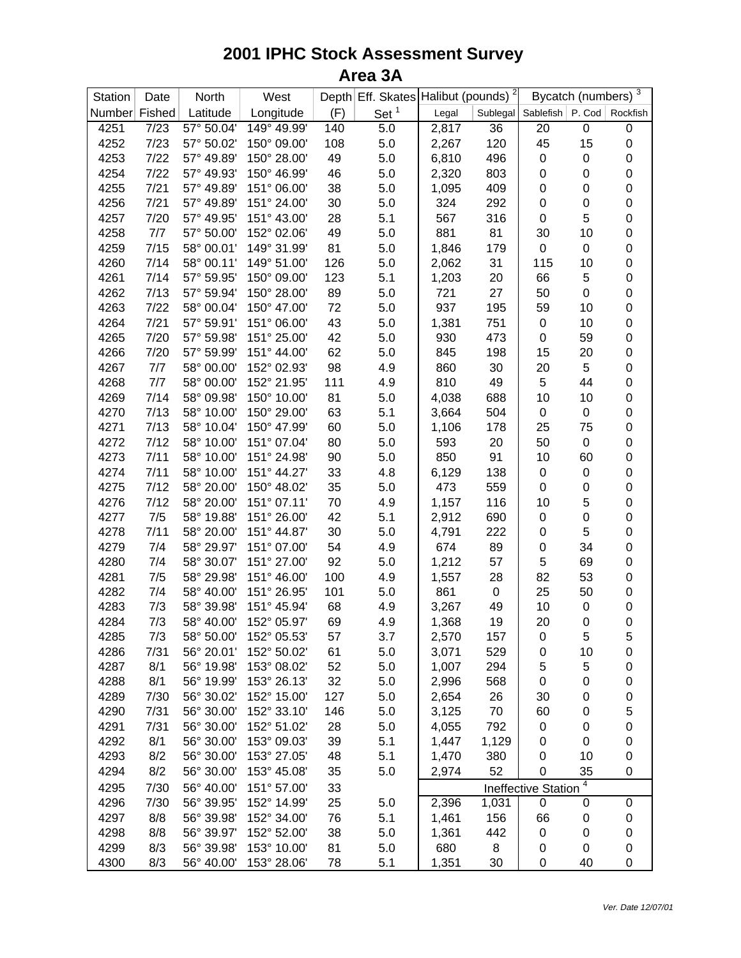| Station       | Date | North      | West        |     | Depth Eff. Skates Halibut (pounds) <sup>2</sup> |       |           | Bycatch (numbers) $\frac{3}{3}$ |             |                  |
|---------------|------|------------|-------------|-----|-------------------------------------------------|-------|-----------|---------------------------------|-------------|------------------|
| Number Fished |      | Latitude   | Longitude   | (F) | Set <sup>1</sup>                                | Legal |           | Sublegal Sablefish   P. Cod     |             | Rockfish         |
| 4251          | 7/23 | 57° 50.04' | 149° 49.99' | 140 | 5.0                                             | 2,817 | 36        | 20                              | $\mathbf 0$ | $\boldsymbol{0}$ |
| 4252          | 7/23 | 57° 50.02' | 150° 09.00' | 108 | 5.0                                             | 2,267 | 120       | 45                              | 15          | $\boldsymbol{0}$ |
| 4253          | 7/22 | 57° 49.89' | 150° 28.00' | 49  | 5.0                                             | 6,810 | 496       | 0                               | $\pmb{0}$   | $\boldsymbol{0}$ |
| 4254          | 7/22 | 57° 49.93' | 150° 46.99' | 46  | 5.0                                             | 2,320 | 803       | 0                               | $\pmb{0}$   | $\boldsymbol{0}$ |
| 4255          | 7/21 | 57° 49.89' | 151° 06.00' | 38  | 5.0                                             | 1,095 | 409       | 0                               | 0           | $\mathbf 0$      |
| 4256          | 7/21 | 57° 49.89' | 151° 24.00' | 30  | 5.0                                             | 324   | 292       | 0                               | 0           | $\mathbf 0$      |
| 4257          | 7/20 | 57° 49.95' | 151° 43.00' | 28  | 5.1                                             | 567   | 316       | 0                               | 5           | $\mathbf 0$      |
| 4258          | 7/7  | 57° 50.00' | 152° 02.06' | 49  | 5.0                                             | 881   | 81        | 30                              | 10          | $\mathbf 0$      |
| 4259          | 7/15 | 58° 00.01' | 149° 31.99' | 81  | 5.0                                             | 1,846 | 179       | $\pmb{0}$                       | 0           | $\mathbf 0$      |
| 4260          | 7/14 | 58° 00.11' | 149° 51.00' | 126 | 5.0                                             | 2,062 | 31        | 115                             | 10          | $\mathbf 0$      |
| 4261          | 7/14 | 57° 59.95' | 150° 09.00' | 123 | 5.1                                             | 1,203 | 20        | 66                              | 5           | $\mathbf 0$      |
| 4262          | 7/13 | 57° 59.94' | 150° 28.00' | 89  | 5.0                                             | 721   | 27        | 50                              | $\pmb{0}$   | $\mathbf 0$      |
| 4263          | 7/22 | 58° 00.04' | 150° 47.00' | 72  | 5.0                                             | 937   | 195       | 59                              | 10          | $\mathbf 0$      |
| 4264          | 7/21 | 57° 59.91' | 151° 06.00' | 43  | 5.0                                             | 1,381 | 751       | 0                               | 10          | $\mathbf 0$      |
| 4265          | 7/20 | 57° 59.98' | 151° 25.00' | 42  | 5.0                                             | 930   | 473       | 0                               | 59          | $\mathbf 0$      |
| 4266          | 7/20 | 57° 59.99' | 151° 44.00' | 62  | 5.0                                             | 845   | 198       | 15                              | 20          | $\mathbf 0$      |
| 4267          | 7/7  | 58° 00.00' | 152° 02.93' | 98  | 4.9                                             | 860   | 30        | 20                              | 5           | $\boldsymbol{0}$ |
| 4268          | 7/7  | 58° 00.00' | 152° 21.95' | 111 | 4.9                                             | 810   | 49        | 5                               | 44          | $\boldsymbol{0}$ |
| 4269          | 7/14 | 58° 09.98' | 150° 10.00' | 81  | 5.0                                             | 4,038 | 688       | 10                              | 10          | $\boldsymbol{0}$ |
| 4270          | 7/13 | 58° 10.00' | 150° 29.00' | 63  | 5.1                                             | 3,664 | 504       | $\pmb{0}$                       | 0           | $\boldsymbol{0}$ |
| 4271          | 7/13 | 58° 10.04' | 150° 47.99' | 60  | 5.0                                             | 1,106 | 178       | 25                              | 75          | $\mathbf 0$      |
| 4272          | 7/12 | 58° 10.00' | 151° 07.04' | 80  | 5.0                                             | 593   | 20        | 50                              | 0           | $\mathbf 0$      |
| 4273          | 7/11 | 58° 10.00' | 151° 24.98' | 90  | 5.0                                             | 850   | 91        | 10                              | 60          | $\mathbf 0$      |
| 4274          | 7/11 | 58° 10.00' | 151° 44.27' | 33  | 4.8                                             | 6,129 | 138       | 0                               | $\pmb{0}$   | $\mathbf 0$      |
| 4275          | 7/12 | 58° 20.00' | 150° 48.02' | 35  | 5.0                                             | 473   | 559       | 0                               | 0           | $\mathbf 0$      |
| 4276          | 7/12 | 58° 20.00' | 151° 07.11' | 70  | 4.9                                             | 1,157 | 116       | 10                              | 5           | $\mathbf 0$      |
| 4277          | 7/5  | 58° 19.88' | 151° 26.00' | 42  | 5.1                                             | 2,912 | 690       | $\pmb{0}$                       | $\pmb{0}$   | $\mathbf 0$      |
| 4278          | 7/11 | 58° 20.00' | 151° 44.87' | 30  | 5.0                                             | 4,791 | 222       | 0                               | 5           | $\mathbf 0$      |
| 4279          | 7/4  | 58° 29.97' | 151° 07.00' | 54  | 4.9                                             | 674   | 89        | 0                               | 34          | $\mathbf 0$      |
| 4280          | 7/4  | 58° 30.07' | 151° 27.00' | 92  | 5.0                                             | 1,212 | 57        | 5                               | 69          | $\boldsymbol{0}$ |
| 4281          | 7/5  | 58° 29.98' | 151° 46.00' | 100 | 4.9                                             | 1,557 | 28        | 82                              | 53          | $\boldsymbol{0}$ |
| 4282          | 7/4  | 58° 40.00' | 151° 26.95' | 101 | 5.0                                             | 861   | $\pmb{0}$ | 25                              | 50          | $\mathbf 0$      |
| 4283          | 7/3  | 58° 39.98' | 151° 45.94' | 68  | 4.9                                             | 3,267 | 49        | 10                              | 0           | 0                |
| 4284          | 7/3  | 58° 40.00' | 152° 05.97' | 69  | 4.9                                             | 1,368 | 19        | 20                              | 0           | $\mathbf 0$      |
| 4285          | 7/3  | 58° 50.00' | 152° 05.53' | 57  | 3.7                                             | 2,570 | 157       | 0                               | 5           | 5                |
| 4286          | 7/31 | 56° 20.01' | 152° 50.02' | 61  | 5.0                                             | 3,071 | 529       | 0                               | 10          | 0                |
| 4287          | 8/1  | 56° 19.98' | 153° 08.02' | 52  | 5.0                                             | 1,007 | 294       | 5                               | 5           | 0                |
| 4288          | 8/1  | 56° 19.99' | 153° 26.13' | 32  | 5.0                                             | 2,996 | 568       | 0                               | 0           | 0                |
| 4289          | 7/30 | 56° 30.02' | 152° 15.00' | 127 | 5.0                                             | 2,654 | 26        | 30                              | 0           | 0                |
| 4290          | 7/31 | 56° 30.00' | 152° 33.10' | 146 | 5.0                                             | 3,125 | 70        | 60                              | 0           | $\mathbf 5$      |
| 4291          | 7/31 | 56° 30.00' | 152° 51.02' | 28  | 5.0                                             | 4,055 | 792       | 0                               | 0           | $\mathbf 0$      |
| 4292          | 8/1  | 56° 30.00' | 153° 09.03' | 39  | 5.1                                             | 1,447 | 1,129     | 0                               | 0           | $\mathbf 0$      |
| 4293          | 8/2  | 56° 30.00' | 153° 27.05' | 48  | 5.1                                             | 1,470 | 380       | 0                               | 10          | 0                |
| 4294          | 8/2  | 56° 30.00' | 153° 45.08' | 35  | 5.0                                             | 2,974 | 52        | 0                               | 35          | 0                |
| 4295          | 7/30 | 56° 40.00' | 151° 57.00' | 33  |                                                 |       |           | <b>Ineffective Station</b>      | 4           |                  |
| 4296          | 7/30 | 56° 39.95' | 152° 14.99' | 25  | 5.0                                             | 2,396 | 1,031     | 0                               | 0           | 0                |
| 4297          | 8/8  | 56° 39.98' | 152° 34.00' | 76  | 5.1                                             | 1,461 | 156       | 66                              | 0           | 0                |
| 4298          | 8/8  | 56° 39.97' | 152° 52.00' | 38  | 5.0                                             | 1,361 | 442       | 0                               | 0           | 0                |
| 4299          | 8/3  | 56° 39.98' | 153° 10.00' | 81  | 5.0                                             | 680   | 8         | 0                               | 0           | 0                |
| 4300          | 8/3  | 56° 40.00' | 153° 28.06' | 78  | 5.1                                             | 1,351 | 30        | 0                               | 40          | 0                |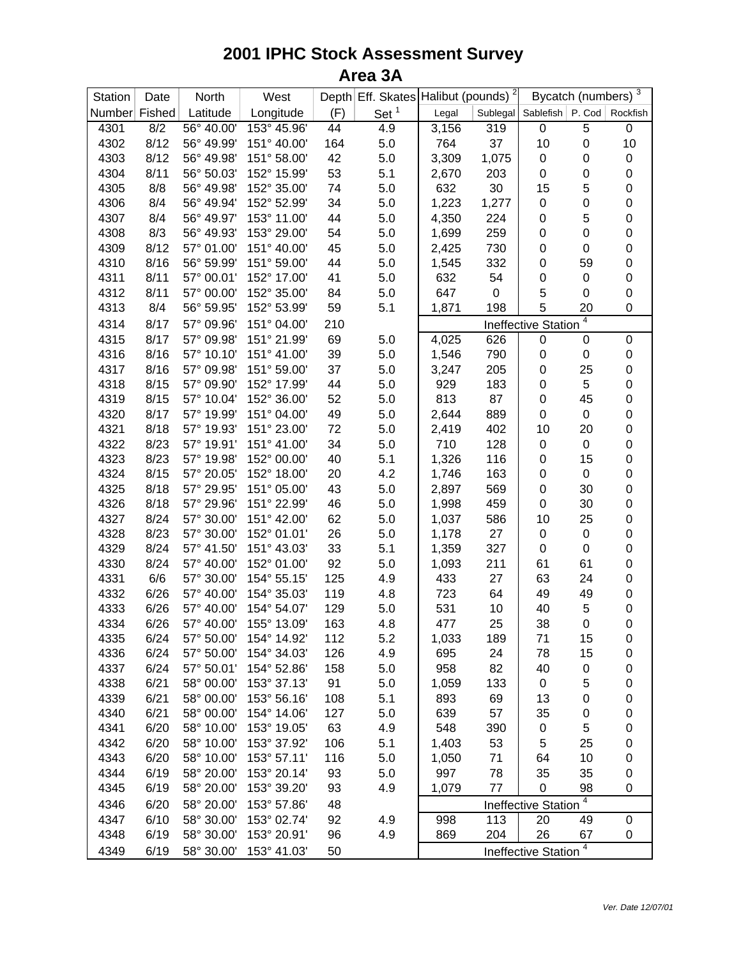| Station       | Date         | North                    | West                       |     |                  | Bycatch (numbers) $\frac{3}{3}$<br>Depth Eff. Skates Halibut (pounds) <sup>2</sup> |                  |                               |                  |             |
|---------------|--------------|--------------------------|----------------------------|-----|------------------|------------------------------------------------------------------------------------|------------------|-------------------------------|------------------|-------------|
| Number Fished |              | Latitude                 | Longitude                  | (F) | Set <sup>1</sup> | Legal                                                                              | Sublegal         | Sablefish   P. Cod   Rockfish |                  |             |
| 4301          | 8/2          | 56° 40.00'               | 153° 45.96'                | 44  | 4.9              | 3,156                                                                              | 319              | 0                             | 5                | 0           |
| 4302          | 8/12         | 56° 49.99'               | 151° 40.00'                | 164 | 5.0              | 764                                                                                | 37               | 10                            | $\mathbf 0$      | 10          |
| 4303          | 8/12         | 56° 49.98'               | 151° 58.00'                | 42  | 5.0              | 3,309                                                                              | 1,075            | 0                             | $\mathbf 0$      | 0           |
| 4304          | 8/11         | 56° 50.03'               | 152° 15.99'                | 53  | 5.1              | 2,670                                                                              | 203              | 0                             | $\mathbf 0$      | 0           |
| 4305          | 8/8          | 56° 49.98'               | 152° 35.00'                | 74  | 5.0              | 632                                                                                | 30               | 15                            | 5                | 0           |
| 4306          | 8/4          | 56° 49.94'               | 152° 52.99'                | 34  | 5.0              | 1,223                                                                              | 1,277            | 0                             | $\pmb{0}$        | 0           |
| 4307          | 8/4          | 56° 49.97'               | 153° 11.00'                | 44  | 5.0              | 4,350                                                                              | 224              | 0                             | 5                | 0           |
| 4308          | 8/3          | 56° 49.93'               | 153° 29.00'                | 54  | 5.0              | 1,699                                                                              | 259              | 0                             | $\pmb{0}$        | 0           |
| 4309          | 8/12         | 57° 01.00'               | 151° 40.00'                | 45  | 5.0              | 2,425                                                                              | 730              | $\pmb{0}$                     | $\pmb{0}$        | 0           |
| 4310          | 8/16         | 56° 59.99'               | 151° 59.00'                | 44  | 5.0              | 1,545                                                                              | 332              | 0                             | 59               | 0           |
| 4311          | 8/11         | 57° 00.01'               | 152° 17.00'                | 41  | 5.0              | 632                                                                                | 54               | 0                             | 0                | 0           |
| 4312          | 8/11         | 57° 00.00'               | 152° 35.00'                | 84  | 5.0              | 647                                                                                | $\boldsymbol{0}$ | 5                             | $\mathbf 0$      | 0           |
| 4313          | 8/4          | 56° 59.95'               | 152° 53.99'                | 59  | 5.1              | 1,871                                                                              | 198              | 5                             | 20               | 0           |
| 4314          | 8/17         | 57° 09.96'               | 151° 04.00'                | 210 |                  |                                                                                    |                  | <b>Ineffective Station</b>    | 4                |             |
| 4315          | 8/17         | 57° 09.98'               | 151° 21.99'                | 69  | 5.0              | 4,025                                                                              | 626              | 0                             | 0                | 0           |
| 4316          | 8/16         | 57° 10.10'               | 151° 41.00'                | 39  | 5.0              | 1,546                                                                              | 790              | 0                             | 0                | $\mathbf 0$ |
| 4317          | 8/16         | 57° 09.98'               | 151° 59.00'                | 37  | 5.0              | 3,247                                                                              | 205              | $\boldsymbol{0}$              | 25               | 0           |
| 4318          | 8/15         | 57° 09.90'               | 152° 17.99'                | 44  | 5.0              | 929                                                                                | 183              | $\boldsymbol{0}$              | 5                | 0           |
| 4319          | 8/15         | 57° 10.04'               | 152° 36.00'                | 52  | 5.0              | 813                                                                                | 87               | $\boldsymbol{0}$              | 45               | 0           |
| 4320          | 8/17         | 57° 19.99'               | 151° 04.00'                | 49  | 5.0              | 2,644                                                                              | 889              | $\pmb{0}$                     | 0                | 0           |
| 4321          | 8/18         | 57° 19.93'               | 151° 23.00'                | 72  | 5.0              | 2,419                                                                              | 402              | 10                            | 20               | 0           |
| 4322          | 8/23         | 57° 19.91'               | 151° 41.00'                | 34  | 5.0              | 710                                                                                | 128              | $\pmb{0}$                     | 0                | 0           |
| 4323          | 8/23         | 57° 19.98'               | 152° 00.00'                | 40  | 5.1              | 1,326                                                                              | 116              | $\boldsymbol{0}$              | 15               | 0           |
| 4324          | 8/15         | 57° 20.05'               | 152° 18.00'                | 20  | 4.2              | 1,746                                                                              | 163              | $\boldsymbol{0}$              | 0                | 0           |
| 4325          | 8/18         | 57° 29.95'               | 151° 05.00'                | 43  | 5.0              | 2,897                                                                              | 569              | $\boldsymbol{0}$              | 30               | 0           |
| 4326          | 8/18         | 57° 29.96'               | 151° 22.99'                | 46  | 5.0              | 1,998                                                                              | 459              | $\pmb{0}$                     | 30               | 0           |
| 4327          | 8/24         | 57° 30.00'               | 151° 42.00'                | 62  | 5.0              | 1,037                                                                              | 586              | 10                            | 25               | 0           |
| 4328          | 8/23         | 57° 30.00'               | 152° 01.01'                | 26  | 5.0              | 1,178                                                                              | 27               | $\boldsymbol{0}$              | 0                | 0           |
| 4329          | 8/24         | 57° 41.50'               | 151° 43.03'                | 33  | 5.1              | 1,359                                                                              | 327              | $\pmb{0}$                     | $\boldsymbol{0}$ | 0           |
| 4330          | 8/24         | 57° 40.00'               | 152° 01.00'                | 92  | 5.0              | 1,093                                                                              | 211              | 61                            | 61               | 0           |
| 4331          | 6/6          | 57° 30.00'               | 154° 55.15'                | 125 | 4.9              | 433                                                                                | 27               | 63                            | 24               | 0           |
| 4332          | 6/26         | 57° 40.00'               | 154° 35.03'                | 119 | 4.8              | 723                                                                                | 64               | 49                            | 49               | 0           |
| 4333          | 6/26         | 57° 40.00'               | 154° 54.07'                | 129 | $5.0\,$          | 531                                                                                | 10               | 40                            | 5                | 0           |
| 4334          | 6/26         | 57° 40.00'               | 155° 13.09'                | 163 | 4.8              | 477                                                                                | 25               | 38                            | $\boldsymbol{0}$ | 0           |
| 4335          | 6/24         | 57° 50.00'               | 154° 14.92'                | 112 | 5.2              | 1,033                                                                              | 189              | 71                            | 15               | 0           |
| 4336          | 6/24         | 57° 50.00'               | 154° 34.03'                | 126 | 4.9              | 695                                                                                | 24               | 78                            | 15               | 0           |
| 4337          | 6/24         | 57° 50.01'               | 154° 52.86'                | 158 | 5.0              | 958                                                                                | 82               | 40                            | 0                | 0           |
| 4338          | 6/21         | 58° 00.00'               | 153° 37.13'                | 91  | 5.0              | 1,059                                                                              | 133              | 0                             | 5                | 0           |
| 4339          | 6/21         | 58° 00.00'               | 153° 56.16'                | 108 | 5.1              | 893                                                                                | 69               | 13                            | $\mathbf 0$      | 0           |
| 4340          | 6/21         | 58° 00.00'               | 154° 14.06'                | 127 | 5.0              | 639                                                                                | 57               | 35                            | $\mathbf 0$      | 0           |
| 4341          | 6/20         | 58° 10.00'               | 153° 19.05'                | 63  | 4.9              | 548                                                                                | 390              | $\pmb{0}$                     | 5                | 0           |
| 4342          | 6/20         | 58° 10.00'               | 153° 37.92'                | 106 | 5.1              | 1,403                                                                              | 53               | 5                             | 25               | 0           |
| 4343          | 6/20         | 58° 10.00'               | 153° 57.11'                | 116 | 5.0              | 1,050                                                                              | 71               | 64                            | 10               | 0           |
| 4344          | 6/19         | 58° 20.00'               | 153° 20.14'                | 93  | 5.0              | 997                                                                                | 78               | 35                            | 35               | 0           |
| 4345          | 6/19         | 58° 20.00'               | 153° 39.20'                | 93  | 4.9              | 1,079                                                                              | 77               | 0                             | 98               | 0           |
|               |              |                          |                            |     |                  |                                                                                    |                  |                               | 4                |             |
| 4346          | 6/20<br>6/10 | 58° 20.00'<br>58° 30.00' | 153° 57.86'<br>153° 02.74' | 48  |                  |                                                                                    |                  | <b>Ineffective Station</b>    |                  | 0           |
| 4347          |              |                          |                            | 92  | 4.9              | 998                                                                                | 113<br>204       | 20<br>26                      | 49               |             |
| 4348          | 6/19         | 58° 30.00'               | 153° 20.91'                | 96  | 4.9              | 869                                                                                |                  |                               | 67<br>4          | 0           |
| 4349          | 6/19         | 58° 30.00'               | 153° 41.03'                | 50  |                  |                                                                                    |                  | <b>Ineffective Station</b>    |                  |             |